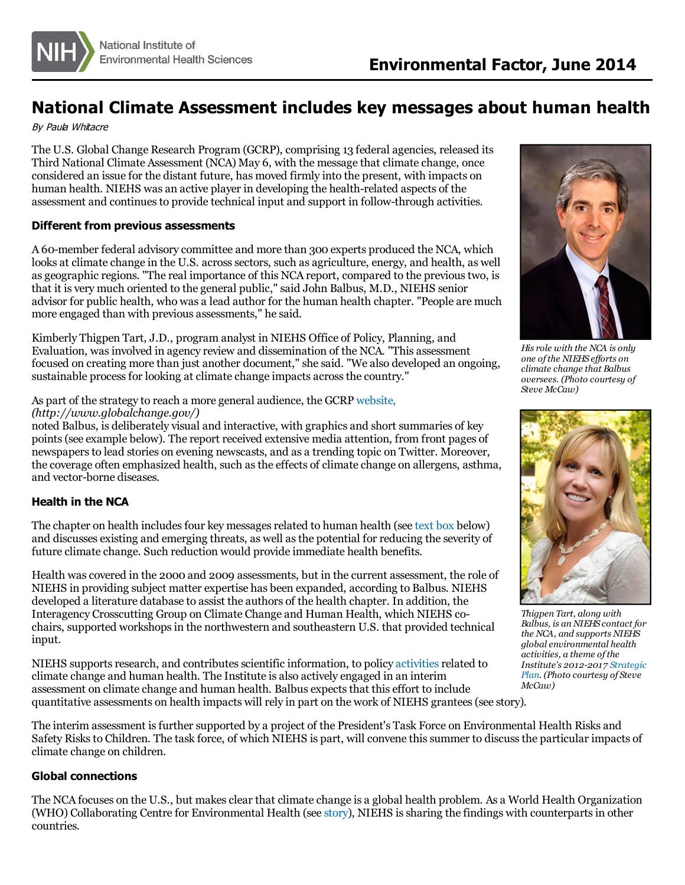

# **National Climate Assessment includes key messages about human health**

By Paula Whitacre

The U.S. Global Change Research Program (GCRP), comprising 13 federal agencies, released its Third National Climate Assessment (NCA) May 6, with the message that climate change, once considered an issue for the distant future, has moved firmly into the present, with impacts on human health. NIEHS was an active player in developing the health-related aspects of the assessment and continuesto provide technical input and support in follow-through activities.

## **Different from previous assessments**

A 60-member federal advisory committee and more than 300 experts produced the NCA, which looks at climate change in the U.S. across sectors, such as agriculture, energy, and health, as well as geographic regions. "The real importance of this NCA report, compared to the previoustwo, is that it is very much oriented to the general public," said John Balbus, M.D., NIEHS senior advisor for public health, who was a lead author for the human health chapter. "People are much more engaged than with previous assessments," he said.

Kimberly Thigpen Tart, J.D., program analyst in NIEHS Office of Policy, Planning, and Evaluation, wasinvolved in agency review and dissemination of the NCA. "This assessment focused on creating more than just another document," she said. "We also developed an ongoing, sustainable process for looking at climate change impacts across the country."

As part of the strategy to reach a more general audience, the GCRP [website,](http://www.globalchange.gov/)

*(http://www.globalchange.gov/)*

noted Balbus, is deliberately visual and interactive, with graphics and short summaries of key points(see example below). The report received extensive media attention, from front pages of newspapersto lead stories on evening newscasts, and as a trending topic on Twitter. Moreover, the coverage often emphasized health, such as the effects of climate change on allergens, asthma, and vector-borne diseases.

# **Health in the NCA**

The chapter on health includes four key messages related to human health (see [text](#page-2-0) box below) and discusses existing and emerging threats, as well asthe potential for reducing the severity of future climate change. Such reduction would provide immediate health benefits.

Health wascovered in the 2000 and 2009 assessments, but in the current assessment, the role of NIEHS in providing subject matter expertise has been expanded, according to Balbus. NIEHS developed a literature database to assist the authors of the health chapter. In addition, the Interagency Crosscutting Group on Climate Change and Human Health, which NIEHS cochairs, supported workshops in the northwestern and southeastern U.S. that provided technical input.

NIEHS supports research, and contributes scientific information, to policy [activities](http://www.niehs.nih.gov/research/programs/geh/climatechange/ongoing_activities/index.cfm) related to climate change and human health. The Institute is also actively engaged in an interim assessment on climate change and human health. Balbus expects that this effort to include quantitative assessments on health impacts will rely in part on the work of NIEHS grantees(see [story](http://www.niehs.nih.gov/news/newsletter/2014/6/science-climate/index.htm)).



*His role with the NCA is only one ofthe NIEHS ef orts on climate change that Balbus oversees. (Photo courtesy of Steve McCaw)*



*Thigpen Tart, along with Balbus, is an NIEHS contact for the NCA, and supports NIEHS global environmental health activities, a theme ofthe Institute's [2012-2017](http://www.niehs.nih.gov/about/strategicplan/index.cfm) Strategic Plan. (Photo courtesy of Steve McCaw)*

The interim assessment isfurther supported by a project of the President's Task Force on Environmental Health Risks and Safety Risks to Children. The task force, of which NIEHS is part, will convene this summer to discuss the particular impacts of climate change on children.

#### **Global connections**

The NCA focuses on the U.S., but makes clear that climate change is a global health problem. As a World Health Organization (WHO) Collaborating Centre for Environmental Health (see [story](http://www.niehs.nih.gov/news/newsletter/2014/3/spotlight-who/index.htm)), NIEHS issharing the findings with counterpartsin other countries.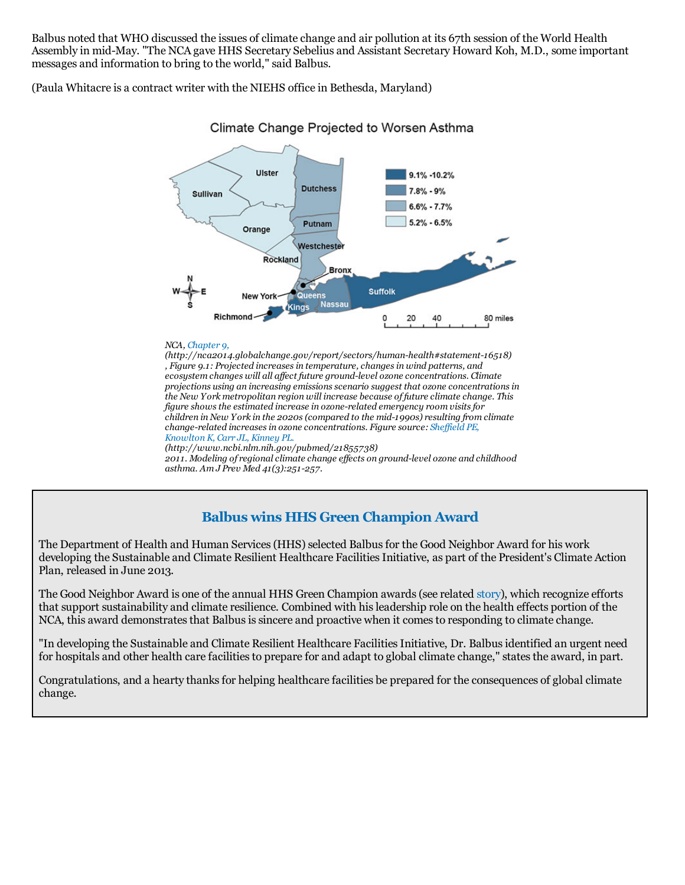Balbus noted that WHO discussed the issues of climate change and air pollution at its 67th session of the World Health Assembly in mid-May. "The NCA gave HHS Secretary Sebelius and Assistant Secretary Howard Koh, M.D., some important messages and information to bring to the world," said Balbus.

(Paula Whitacre is a contract writer with the NIEHS office in Bethesda, Maryland)



# Climate Change Projected to Worsen Asthma

#### *NCA, [Chapter](http://nca2014.globalchange.gov/report/sectors/human-health#statement-16518) 9,*

*asthma. Am J Prev Med 41(3):251-257.*

*(http://nca2014.globalchange.gov/report/sectors/human-health#statement-16518) , Figure 9.1: Projected increasesin temperature, changesin wind patterns, and ecosystem changes will all af ect future ground-level ozone concentrations. Climate projections using an increasing emissionsscenario suggest that ozone concentrationsin the New York metropolitan region will increase because of future climate change. This figure showsthe estimated increase in ozone-related emergency room visitsfor children in New York in the 2020s(compared to the mid-1990s) resulting from climate change-related increasesin ozone [concentrations.](http://www.ncbi.nlm.nih.gov/pubmed/21855738) Figure source: Shef ield PE, Knowlton K, Carr JL, Kinney PL. (http://www.ncbi.nlm.nih.gov/pubmed/21855738) 2011. Modeling of regionalclimate change ef ects on ground-level ozone and childhood*

# **Balbus wins HHS Green Champion Award**

The Department of Health and Human Services (HHS) selected Balbus for the Good Neighbor Award for his work developing the Sustainable and Climate Resilient Healthcare Facilities Initiative, as part of the President's Climate Action Plan, released in June 2013.

The Good Neighbor Award is one of the annual HHS Green Champion awards (see related [story](http://www.niehs.nih.gov/news/newsletter/2014/6/inside-green/index.htm)), which recognize efforts that support sustainability and climate resilience. Combined with hisleadership role on the health effects portion of the NCA, this award demonstrates that Balbus is sincere and proactive when it comes to responding to climate change.

"In developing the Sustainable and Climate Resilient Healthcare Facilities Initiative, Dr. Balbus identified an urgent need for hospitals and other health care facilities to prepare for and adapt to global climate change," states the award, in part.

Congratulations, and a hearty thanksfor helping healthcare facilities be prepared for the consequences of global climate change.